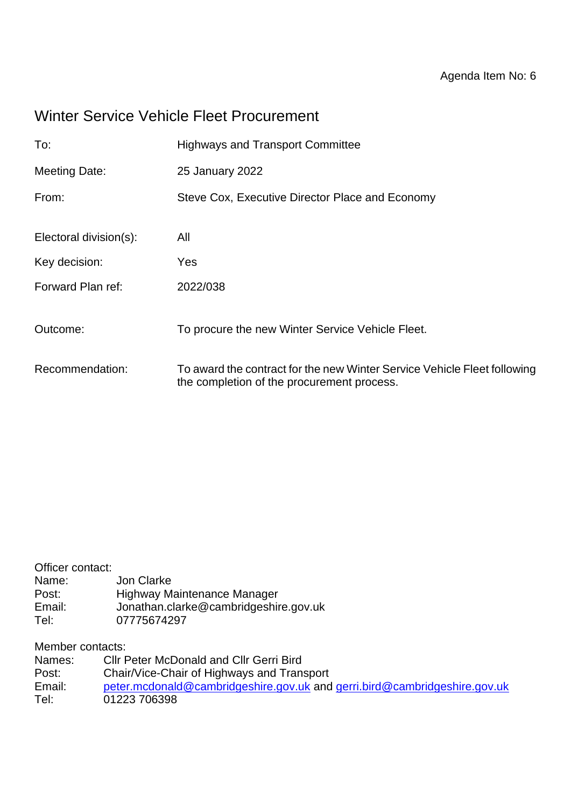# Winter Service Vehicle Fleet Procurement

| To:                    | <b>Highways and Transport Committee</b>                                                                                |
|------------------------|------------------------------------------------------------------------------------------------------------------------|
| <b>Meeting Date:</b>   | 25 January 2022                                                                                                        |
| From:                  | Steve Cox, Executive Director Place and Economy                                                                        |
| Electoral division(s): | All                                                                                                                    |
| Key decision:          | Yes                                                                                                                    |
| Forward Plan ref:      | 2022/038                                                                                                               |
| Outcome:               | To procure the new Winter Service Vehicle Fleet.                                                                       |
| Recommendation:        | To award the contract for the new Winter Service Vehicle Fleet following<br>the completion of the procurement process. |

| Highway Maintenance Manager           |
|---------------------------------------|
| Jonathan.clarke@cambridgeshire.gov.uk |
|                                       |
|                                       |

Member contacts:

| Names: | <b>CIIr Peter McDonald and CIIr Gerri Bird</b>                            |
|--------|---------------------------------------------------------------------------|
| Post:  | Chair/Vice-Chair of Highways and Transport                                |
| Email: | peter.mcdonald@cambridgeshire.gov.uk and gerri.bird@cambridgeshire.gov.uk |
| Tel:   | 01223 706398                                                              |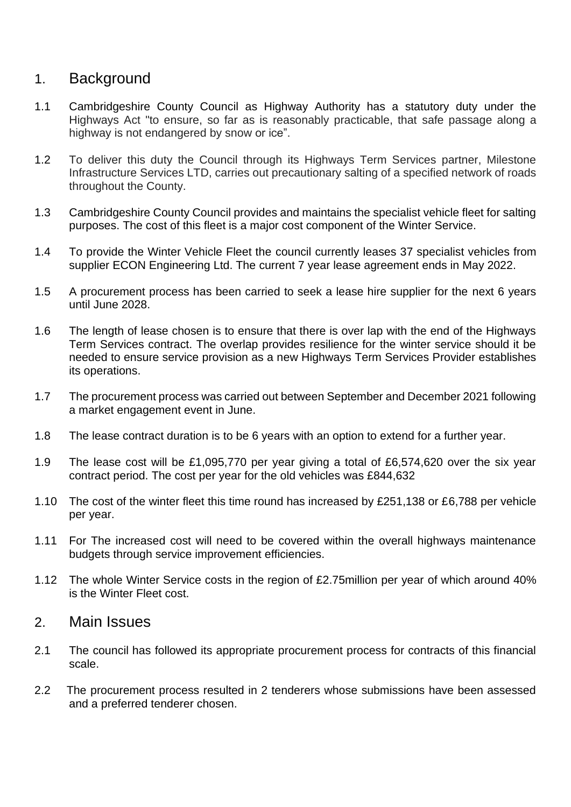### 1. Background

- 1.1 Cambridgeshire County Council as Highway Authority has a statutory duty under the Highways Act "to ensure, so far as is reasonably practicable, that safe passage along a highway is not endangered by snow or ice".
- 1.2 To deliver this duty the Council through its Highways Term Services partner, Milestone Infrastructure Services LTD, carries out precautionary salting of a specified network of roads throughout the County.
- 1.3 Cambridgeshire County Council provides and maintains the specialist vehicle fleet for salting purposes. The cost of this fleet is a major cost component of the Winter Service.
- 1.4 To provide the Winter Vehicle Fleet the council currently leases 37 specialist vehicles from supplier ECON Engineering Ltd. The current 7 year lease agreement ends in May 2022.
- 1.5 A procurement process has been carried to seek a lease hire supplier for the next 6 years until June 2028.
- 1.6 The length of lease chosen is to ensure that there is over lap with the end of the Highways Term Services contract. The overlap provides resilience for the winter service should it be needed to ensure service provision as a new Highways Term Services Provider establishes its operations.
- 1.7 The procurement process was carried out between September and December 2021 following a market engagement event in June.
- 1.8 The lease contract duration is to be 6 years with an option to extend for a further year.
- 1.9 The lease cost will be £1,095,770 per year giving a total of £6,574,620 over the six year contract period. The cost per year for the old vehicles was £844,632
- 1.10 The cost of the winter fleet this time round has increased by £251,138 or £6,788 per vehicle per year.
- 1.11 For The increased cost will need to be covered within the overall highways maintenance budgets through service improvement efficiencies.
- 1.12 The whole Winter Service costs in the region of £2.75million per year of which around 40% is the Winter Fleet cost.

### 2. Main Issues

- 2.1 The council has followed its appropriate procurement process for contracts of this financial scale.
- 2.2 The procurement process resulted in 2 tenderers whose submissions have been assessed and a preferred tenderer chosen.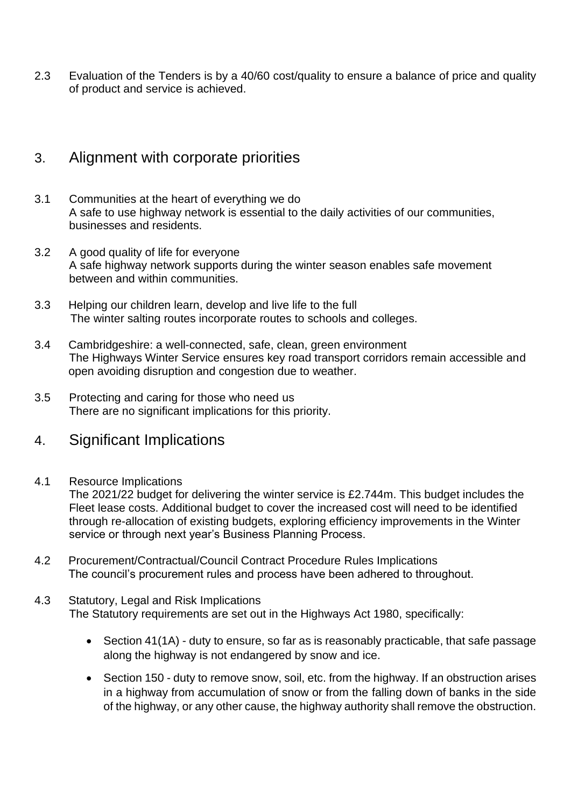2.3 Evaluation of the Tenders is by a 40/60 cost/quality to ensure a balance of price and quality of product and service is achieved.

### 3. Alignment with corporate priorities

- 3.1 Communities at the heart of everything we do A safe to use highway network is essential to the daily activities of our communities, businesses and residents.
- 3.2 A good quality of life for everyone A safe highway network supports during the winter season enables safe movement between and within communities.
- 3.3 Helping our children learn, develop and live life to the full The winter salting routes incorporate routes to schools and colleges.
- 3.4 Cambridgeshire: a well-connected, safe, clean, green environment The Highways Winter Service ensures key road transport corridors remain accessible and open avoiding disruption and congestion due to weather.
- 3.5 Protecting and caring for those who need us There are no significant implications for this priority.

### 4. Significant Implications

4.1 Resource Implications

The 2021/22 budget for delivering the winter service is £2.744m. This budget includes the Fleet lease costs. Additional budget to cover the increased cost will need to be identified through re-allocation of existing budgets, exploring efficiency improvements in the Winter service or through next year's Business Planning Process.

- 4.2 Procurement/Contractual/Council Contract Procedure Rules Implications The council's procurement rules and process have been adhered to throughout.
- 4.3 Statutory, Legal and Risk Implications The Statutory requirements are set out in the Highways Act 1980, specifically:
	- Section 41(1A) duty to ensure, so far as is reasonably practicable, that safe passage along the highway is not endangered by snow and ice.
	- Section 150 duty to remove snow, soil, etc. from the highway. If an obstruction arises in a highway from accumulation of snow or from the falling down of banks in the side of the highway, or any other cause, the highway authority shall remove the obstruction.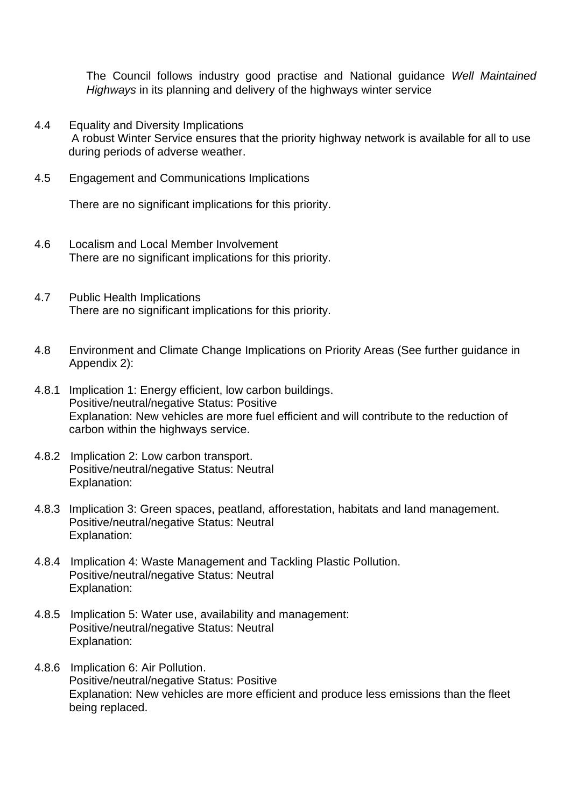The Council follows industry good practise and National guidance *Well Maintained Highways* in its planning and delivery of the highways winter service

- 4.4 Equality and Diversity Implications A robust Winter Service ensures that the priority highway network is available for all to use during periods of adverse weather.
- 4.5 Engagement and Communications Implications

There are no significant implications for this priority.

- 4.6 Localism and Local Member Involvement There are no significant implications for this priority.
- 4.7 Public Health Implications There are no significant implications for this priority.
- 4.8 Environment and Climate Change Implications on Priority Areas (See further guidance in Appendix 2):
- 4.8.1 Implication 1: Energy efficient, low carbon buildings. Positive/neutral/negative Status: Positive Explanation: New vehicles are more fuel efficient and will contribute to the reduction of carbon within the highways service.
- 4.8.2 Implication 2: Low carbon transport. Positive/neutral/negative Status: Neutral Explanation:
- 4.8.3 Implication 3: Green spaces, peatland, afforestation, habitats and land management. Positive/neutral/negative Status: Neutral Explanation:
- 4.8.4 Implication 4: Waste Management and Tackling Plastic Pollution. Positive/neutral/negative Status: Neutral Explanation:
- 4.8.5 Implication 5: Water use, availability and management: Positive/neutral/negative Status: Neutral Explanation:
- 4.8.6 Implication 6: Air Pollution. Positive/neutral/negative Status: Positive Explanation: New vehicles are more efficient and produce less emissions than the fleet being replaced.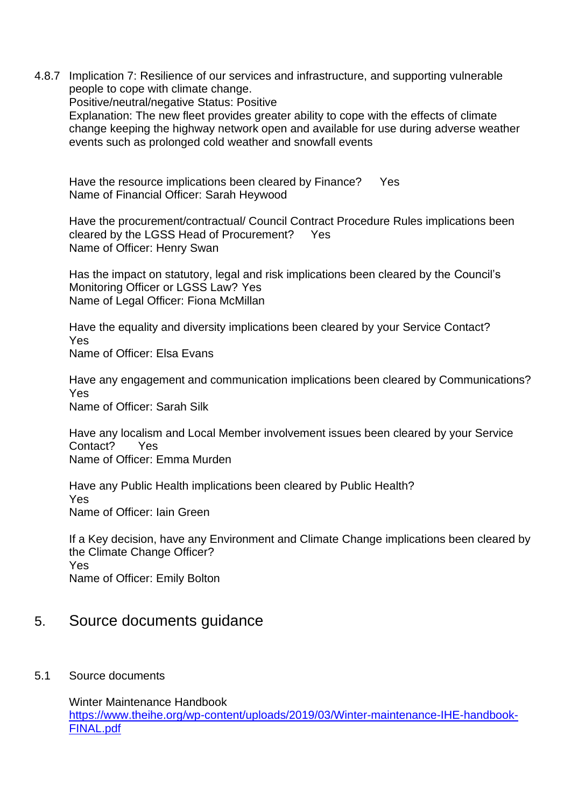4.8.7 Implication 7: Resilience of our services and infrastructure, and supporting vulnerable people to cope with climate change.

Positive/neutral/negative Status: Positive

Explanation: The new fleet provides greater ability to cope with the effects of climate change keeping the highway network open and available for use during adverse weather events such as prolonged cold weather and snowfall events

Have the resource implications been cleared by Finance? Yes Name of Financial Officer: Sarah Heywood

Have the procurement/contractual/ Council Contract Procedure Rules implications been cleared by the LGSS Head of Procurement? Yes Name of Officer: Henry Swan

Has the impact on statutory, legal and risk implications been cleared by the Council's Monitoring Officer or LGSS Law? Yes Name of Legal Officer: Fiona McMillan

Have the equality and diversity implications been cleared by your Service Contact? Yes Name of Officer: Elsa Evans

Have any engagement and communication implications been cleared by Communications? Yes Name of Officer: Sarah Silk

Have any localism and Local Member involvement issues been cleared by your Service Contact? Yes Name of Officer: Emma Murden

Have any Public Health implications been cleared by Public Health? Yes Name of Officer: Iain Green

If a Key decision, have any Environment and Climate Change implications been cleared by the Climate Change Officer? Yes Name of Officer: Emily Bolton

## 5. Source documents guidance

5.1 Source documents

Winter Maintenance Handbook [https://www.theihe.org/wp-content/uploads/2019/03/Winter-maintenance-IHE-handbook-](https://www.theihe.org/wp-content/uploads/2019/03/Winter-maintenance-IHE-handbook-FINAL.pdf)[FINAL.pdf](https://www.theihe.org/wp-content/uploads/2019/03/Winter-maintenance-IHE-handbook-FINAL.pdf)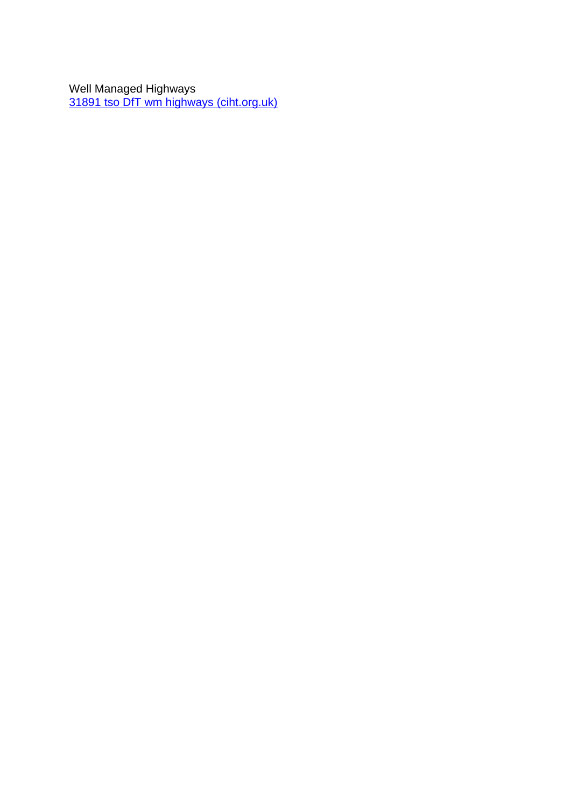Well Managed Highways [31891 tso DfT wm highways \(ciht.org.uk\)](https://www.ciht.org.uk/media/11915/well-managed_highway_infrastructure_combined_-_28_october_2016_amended_15_march_2017_.pdf)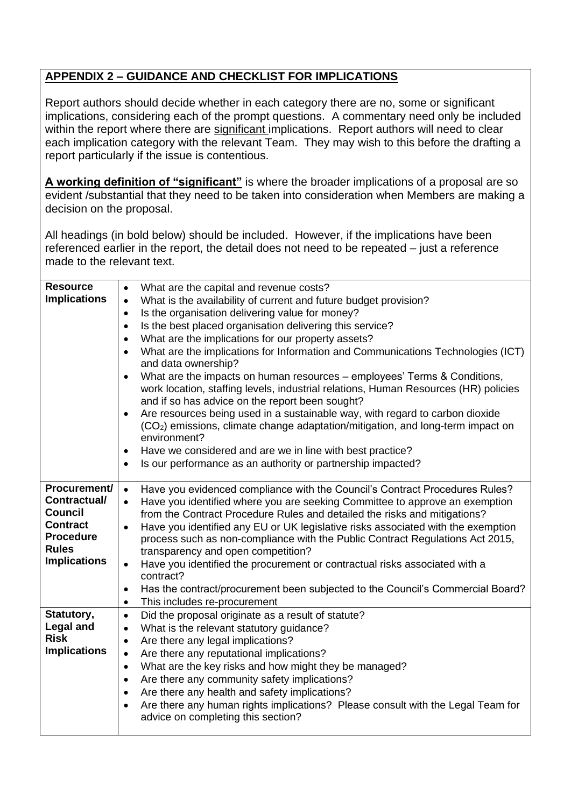#### **APPENDIX 2 – GUIDANCE AND CHECKLIST FOR IMPLICATIONS**

Report authors should decide whether in each category there are no, some or significant implications, considering each of the prompt questions. A commentary need only be included within the report where there are significant implications. Report authors will need to clear each implication category with the relevant Team. They may wish to this before the drafting a report particularly if the issue is contentious.

**A working definition of "significant"** is where the broader implications of a proposal are so evident /substantial that they need to be taken into consideration when Members are making a decision on the proposal.

All headings (in bold below) should be included. However, if the implications have been referenced earlier in the report, the detail does not need to be repeated – just a reference made to the relevant text.

| <b>Resource</b><br><b>Implications</b>                                                                                       | What are the capital and revenue costs?<br>$\bullet$<br>What is the availability of current and future budget provision?<br>$\bullet$<br>Is the organisation delivering value for money?<br>$\bullet$<br>Is the best placed organisation delivering this service?<br>$\bullet$<br>What are the implications for our property assets?<br>$\bullet$<br>What are the implications for Information and Communications Technologies (ICT)<br>$\bullet$<br>and data ownership?<br>What are the impacts on human resources – employees' Terms & Conditions,<br>$\bullet$<br>work location, staffing levels, industrial relations, Human Resources (HR) policies<br>and if so has advice on the report been sought?<br>Are resources being used in a sustainable way, with regard to carbon dioxide<br>(CO <sub>2</sub> ) emissions, climate change adaptation/mitigation, and long-term impact on<br>environment?<br>Have we considered and are we in line with best practice?<br>$\bullet$<br>Is our performance as an authority or partnership impacted?<br>$\bullet$ |
|------------------------------------------------------------------------------------------------------------------------------|------------------------------------------------------------------------------------------------------------------------------------------------------------------------------------------------------------------------------------------------------------------------------------------------------------------------------------------------------------------------------------------------------------------------------------------------------------------------------------------------------------------------------------------------------------------------------------------------------------------------------------------------------------------------------------------------------------------------------------------------------------------------------------------------------------------------------------------------------------------------------------------------------------------------------------------------------------------------------------------------------------------------------------------------------------------|
| Procurement/<br>Contractual/<br><b>Council</b><br><b>Contract</b><br><b>Procedure</b><br><b>Rules</b><br><b>Implications</b> | Have you evidenced compliance with the Council's Contract Procedures Rules?<br>$\bullet$<br>Have you identified where you are seeking Committee to approve an exemption<br>$\bullet$<br>from the Contract Procedure Rules and detailed the risks and mitigations?<br>Have you identified any EU or UK legislative risks associated with the exemption<br>$\bullet$<br>process such as non-compliance with the Public Contract Regulations Act 2015,<br>transparency and open competition?<br>Have you identified the procurement or contractual risks associated with a<br>$\bullet$<br>contract?<br>Has the contract/procurement been subjected to the Council's Commercial Board?<br>$\bullet$<br>This includes re-procurement<br>$\bullet$                                                                                                                                                                                                                                                                                                                    |
| Statutory,<br><b>Legal and</b><br><b>Risk</b><br><b>Implications</b>                                                         | Did the proposal originate as a result of statute?<br>$\bullet$<br>What is the relevant statutory guidance?<br>$\bullet$<br>Are there any legal implications?<br>$\bullet$<br>Are there any reputational implications?<br>$\bullet$<br>What are the key risks and how might they be managed?<br>$\bullet$<br>Are there any community safety implications?<br>$\bullet$<br>Are there any health and safety implications?<br>$\bullet$<br>Are there any human rights implications? Please consult with the Legal Team for<br>$\bullet$<br>advice on completing this section?                                                                                                                                                                                                                                                                                                                                                                                                                                                                                       |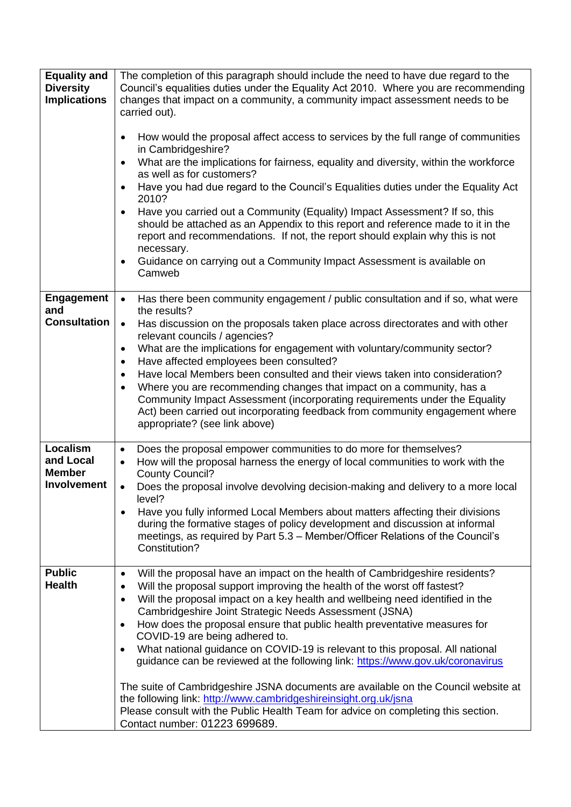| <b>Equality and</b><br><b>Diversity</b><br><b>Implications</b> | The completion of this paragraph should include the need to have due regard to the<br>Council's equalities duties under the Equality Act 2010. Where you are recommending<br>changes that impact on a community, a community impact assessment needs to be<br>carried out).<br>How would the proposal affect access to services by the full range of communities<br>$\bullet$<br>in Cambridgeshire?<br>What are the implications for fairness, equality and diversity, within the workforce<br>$\bullet$<br>as well as for customers?<br>Have you had due regard to the Council's Equalities duties under the Equality Act<br>$\bullet$<br>2010?<br>Have you carried out a Community (Equality) Impact Assessment? If so, this<br>$\bullet$<br>should be attached as an Appendix to this report and reference made to it in the<br>report and recommendations. If not, the report should explain why this is not<br>necessary.<br>Guidance on carrying out a Community Impact Assessment is available on<br>$\bullet$<br>Camweb |
|----------------------------------------------------------------|---------------------------------------------------------------------------------------------------------------------------------------------------------------------------------------------------------------------------------------------------------------------------------------------------------------------------------------------------------------------------------------------------------------------------------------------------------------------------------------------------------------------------------------------------------------------------------------------------------------------------------------------------------------------------------------------------------------------------------------------------------------------------------------------------------------------------------------------------------------------------------------------------------------------------------------------------------------------------------------------------------------------------------|
| <b>Engagement</b><br>and<br><b>Consultation</b>                | Has there been community engagement / public consultation and if so, what were<br>$\bullet$<br>the results?<br>Has discussion on the proposals taken place across directorates and with other<br>$\bullet$<br>relevant councils / agencies?<br>What are the implications for engagement with voluntary/community sector?<br>$\bullet$<br>Have affected employees been consulted?<br>$\bullet$<br>Have local Members been consulted and their views taken into consideration?<br>$\bullet$<br>Where you are recommending changes that impact on a community, has a<br>$\bullet$<br>Community Impact Assessment (incorporating requirements under the Equality<br>Act) been carried out incorporating feedback from community engagement where<br>appropriate? (see link above)                                                                                                                                                                                                                                                   |
| Localism<br>and Local<br><b>Member</b><br>Involvement          | Does the proposal empower communities to do more for themselves?<br>$\bullet$<br>How will the proposal harness the energy of local communities to work with the<br>$\bullet$<br><b>County Council?</b><br>Does the proposal involve devolving decision-making and delivery to a more local<br>$\bullet$<br>level?<br>Have you fully informed Local Members about matters affecting their divisions<br>$\bullet$<br>during the formative stages of policy development and discussion at informal<br>meetings, as required by Part 5.3 - Member/Officer Relations of the Council's<br>Constitution?                                                                                                                                                                                                                                                                                                                                                                                                                               |
| <b>Public</b><br><b>Health</b>                                 | Will the proposal have an impact on the health of Cambridgeshire residents?<br>$\bullet$<br>Will the proposal support improving the health of the worst off fastest?<br>$\bullet$<br>Will the proposal impact on a key health and wellbeing need identified in the<br>$\bullet$<br>Cambridgeshire Joint Strategic Needs Assessment (JSNA)<br>How does the proposal ensure that public health preventative measures for<br>$\bullet$<br>COVID-19 are being adhered to.<br>What national guidance on COVID-19 is relevant to this proposal. All national<br>$\bullet$<br>guidance can be reviewed at the following link: https://www.gov.uk/coronavirus<br>The suite of Cambridgeshire JSNA documents are available on the Council website at<br>the following link: http://www.cambridgeshireinsight.org.uk/jsna<br>Please consult with the Public Health Team for advice on completing this section.<br>Contact number: 01223 699689.                                                                                           |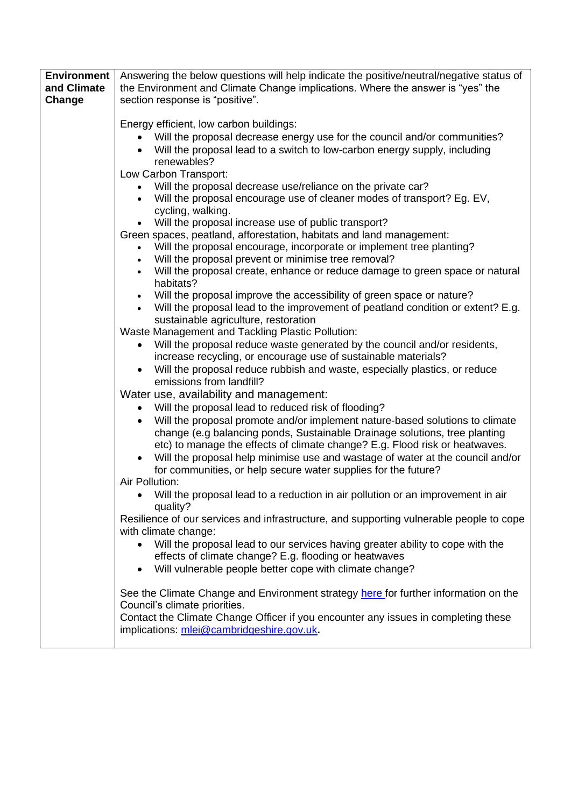| <b>Environment</b> | Answering the below questions will help indicate the positive/neutral/negative status of                                                                   |
|--------------------|------------------------------------------------------------------------------------------------------------------------------------------------------------|
| and Climate        | the Environment and Climate Change implications. Where the answer is "yes" the                                                                             |
| Change             | section response is "positive".                                                                                                                            |
|                    | Energy efficient, low carbon buildings:                                                                                                                    |
|                    | Will the proposal decrease energy use for the council and/or communities?                                                                                  |
|                    | Will the proposal lead to a switch to low-carbon energy supply, including                                                                                  |
|                    | renewables?                                                                                                                                                |
|                    | Low Carbon Transport:<br>Will the proposal decrease use/reliance on the private car?                                                                       |
|                    | Will the proposal encourage use of cleaner modes of transport? Eg. EV,                                                                                     |
|                    | cycling, walking.                                                                                                                                          |
|                    | • Will the proposal increase use of public transport?                                                                                                      |
|                    | Green spaces, peatland, afforestation, habitats and land management:                                                                                       |
|                    | Will the proposal encourage, incorporate or implement tree planting?                                                                                       |
|                    | Will the proposal prevent or minimise tree removal?<br>Will the proposal create, enhance or reduce damage to green space or natural                        |
|                    | habitats?                                                                                                                                                  |
|                    | Will the proposal improve the accessibility of green space or nature?                                                                                      |
|                    | Will the proposal lead to the improvement of peatland condition or extent? E.g.                                                                            |
|                    | sustainable agriculture, restoration<br>Waste Management and Tackling Plastic Pollution:                                                                   |
|                    | Will the proposal reduce waste generated by the council and/or residents,<br>$\bullet$                                                                     |
|                    | increase recycling, or encourage use of sustainable materials?                                                                                             |
|                    | Will the proposal reduce rubbish and waste, especially plastics, or reduce<br>$\bullet$                                                                    |
|                    | emissions from landfill?                                                                                                                                   |
|                    | Water use, availability and management:                                                                                                                    |
|                    | Will the proposal lead to reduced risk of flooding?                                                                                                        |
|                    | Will the proposal promote and/or implement nature-based solutions to climate<br>change (e.g balancing ponds, Sustainable Drainage solutions, tree planting |
|                    | etc) to manage the effects of climate change? E.g. Flood risk or heatwaves.                                                                                |
|                    | Will the proposal help minimise use and wastage of water at the council and/or                                                                             |
|                    | for communities, or help secure water supplies for the future?                                                                                             |
|                    | Air Pollution:                                                                                                                                             |
|                    | Will the proposal lead to a reduction in air pollution or an improvement in air<br>quality?                                                                |
|                    | Resilience of our services and infrastructure, and supporting vulnerable people to cope                                                                    |
|                    | with climate change:                                                                                                                                       |
|                    | Will the proposal lead to our services having greater ability to cope with the                                                                             |
|                    | effects of climate change? E.g. flooding or heatwaves                                                                                                      |
|                    | Will vulnerable people better cope with climate change?                                                                                                    |
|                    | See the Climate Change and Environment strategy here for further information on the                                                                        |
|                    | Council's climate priorities.                                                                                                                              |
|                    | Contact the Climate Change Officer if you encounter any issues in completing these                                                                         |
|                    | implications: mlei@cambridgeshire.gov.uk.                                                                                                                  |
|                    |                                                                                                                                                            |